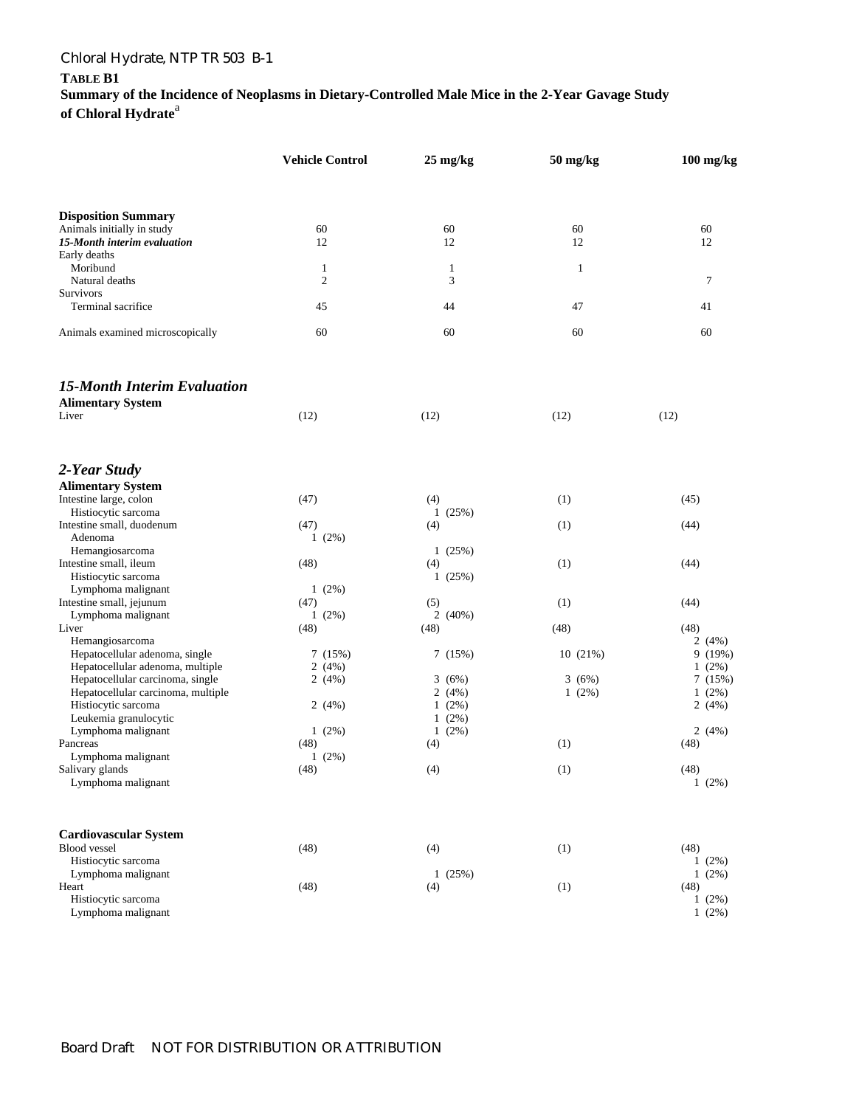## Chloral Hydrate, NTP TR 503 B-1

**TABLE B1** 

**Summary of the Incidence of Neoplasms in Dietary-Controlled Male Mice in the 2-Year Gavage Study**  of Chloral Hydrate<sup>a</sup>

|                                                     | <b>Vehicle Control</b> | $25 \text{ mg/kg}$ | $50 \frac{\text{mg}}{\text{kg}}$ | $100$ mg/kg      |
|-----------------------------------------------------|------------------------|--------------------|----------------------------------|------------------|
|                                                     |                        |                    |                                  |                  |
| <b>Disposition Summary</b>                          |                        |                    |                                  |                  |
| Animals initially in study                          | 60                     | 60                 | 60                               | 60               |
| 15-Month interim evaluation                         | 12                     | 12                 | 12                               | 12               |
| Early deaths                                        |                        |                    |                                  |                  |
| Moribund                                            | $\mathbf{1}$           | $\mathbf{1}$       | $\mathbf{1}$                     |                  |
| Natural deaths                                      | $\overline{2}$         | $\mathfrak{Z}$     |                                  | $\tau$           |
| Survivors                                           |                        |                    |                                  |                  |
| Terminal sacrifice                                  | 45                     | 44                 | 47                               | 41               |
| Animals examined microscopically                    | 60                     | 60                 | 60                               | 60               |
| <b>15-Month Interim Evaluation</b>                  |                        |                    |                                  |                  |
| <b>Alimentary System</b>                            |                        |                    |                                  |                  |
| Liver                                               | (12)                   | (12)               | (12)                             | (12)             |
| 2-Year Study                                        |                        |                    |                                  |                  |
| <b>Alimentary System</b>                            |                        |                    |                                  |                  |
| Intestine large, colon                              | (47)                   | (4)                | (1)                              | (45)             |
| Histiocytic sarcoma                                 |                        | 1(25%)             |                                  |                  |
| Intestine small, duodenum                           | (47)                   | (4)                | (1)                              | (44)             |
| Adenoma                                             | $1(2\%)$               |                    |                                  |                  |
| Hemangiosarcoma                                     |                        | 1(25%)             |                                  |                  |
| Intestine small, ileum                              | (48)                   | (4)                | (1)                              | (44)             |
| Histiocytic sarcoma                                 |                        | 1(25%)             |                                  |                  |
| Lymphoma malignant                                  | $1(2\%)$               |                    |                                  |                  |
| Intestine small, jejunum                            | (47)                   | (5)                | (1)                              | (44)             |
| Lymphoma malignant                                  | 1(2%)                  | 2(40%)             |                                  |                  |
| Liver                                               | (48)                   | (48)               | (48)                             | (48)             |
| Hemangiosarcoma                                     |                        |                    |                                  | 2(4%)            |
| Hepatocellular adenoma, single                      | 7(15%)                 | 7(15%)             | 10(21%)                          | 9(19%)           |
| Hepatocellular adenoma, multiple                    | 2(4%)                  |                    |                                  | $1(2\%)$         |
| Hepatocellular carcinoma, single                    | 2(4%)                  | 3(6%)              | 3(6%)                            | 7(15%)           |
| Hepatocellular carcinoma, multiple                  |                        | 2(4%)              | $1(2\%)$                         | $1(2\%)$         |
| Histiocytic sarcoma                                 | 2(4%)                  | $1(2\%)$           |                                  | 2(4%)            |
| Leukemia granulocytic                               |                        | $1(2\%)$           |                                  |                  |
| Lymphoma malignant                                  | $1(2\%)$               | $1(2\%)$           |                                  | 2(4%)            |
| Pancreas                                            | (48)                   | (4)                | (1)                              | (48)             |
| Lymphoma malignant                                  | $1(2\%)$               |                    |                                  |                  |
| Salivary glands<br>Lymphoma malignant               | (48)                   | (4)                | (1)                              | (48)<br>$1(2\%)$ |
|                                                     |                        |                    |                                  |                  |
| <b>Cardiovascular System</b><br><b>Blood</b> vessel |                        |                    |                                  |                  |
|                                                     | (48)                   | (4)                | (1)                              | (48)             |
| Histiocytic sarcoma                                 |                        |                    |                                  | $1(2\%)$         |
| Lymphoma malignant<br>Heart                         | (48)                   | 1(25%)<br>(4)      | (1)                              | 1(2%)<br>(48)    |
| Histiocytic sarcoma                                 |                        |                    |                                  | $1(2\%)$         |
| Lymphoma malignant                                  |                        |                    |                                  | $1(2\%)$         |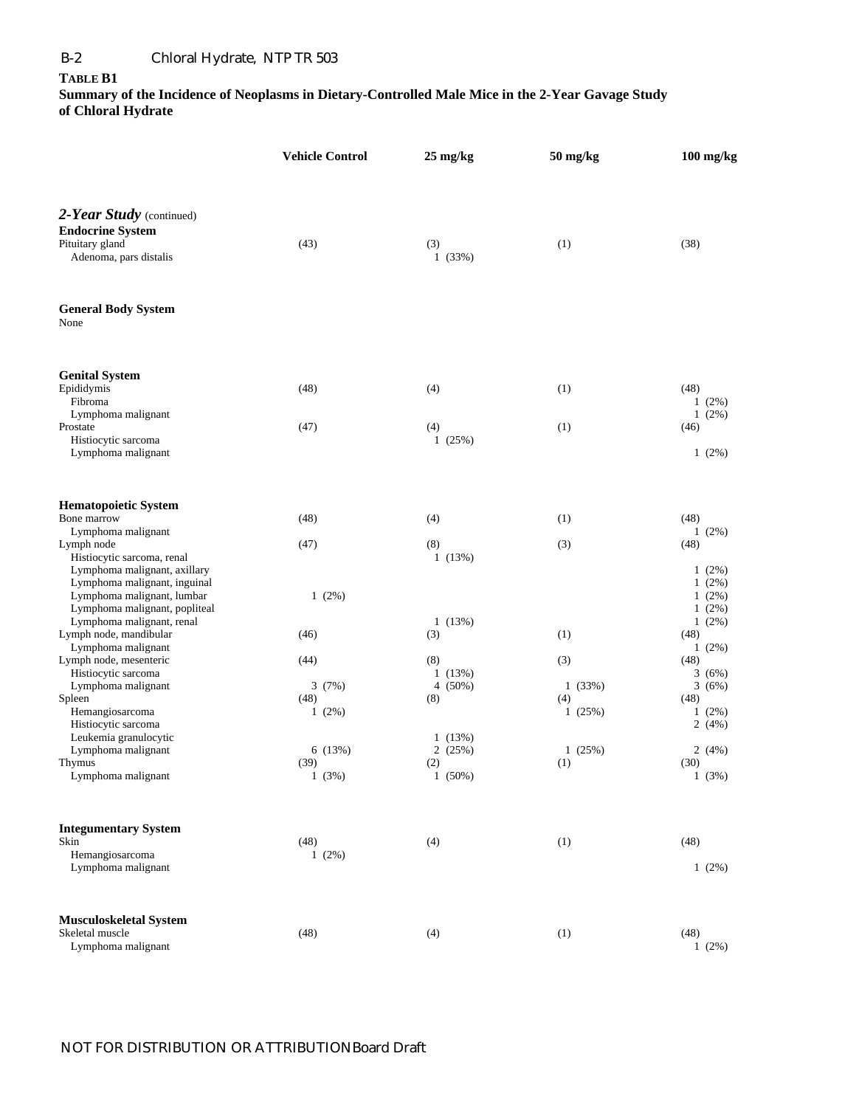## B-2 Chloral Hydrate, NTP TR 503

## **TABLE B1**

**Summary of the Incidence of Neoplasms in Dietary-Controlled Male Mice in the 2-Year Gavage Study of Chloral Hydrate** 

|                                                                                                                          | <b>Vehicle Control</b>    | $25 \text{ mg/kg}$      | $50$ mg/kg              | $100$ mg/kg                                  |
|--------------------------------------------------------------------------------------------------------------------------|---------------------------|-------------------------|-------------------------|----------------------------------------------|
| 2-Year Study (continued)<br><b>Endocrine System</b><br>Pituitary gland<br>Adenoma, pars distalis                         | (43)                      | (3)<br>1(33%)           | (1)                     | (38)                                         |
| <b>General Body System</b><br>None                                                                                       |                           |                         |                         |                                              |
| <b>Genital System</b><br>Epididymis<br>Fibroma                                                                           | (48)                      | (4)                     | (1)                     | (48)<br>$1(2\%)$                             |
| Lymphoma malignant<br>Prostate<br>Histiocytic sarcoma<br>Lymphoma malignant                                              | (47)                      | (4)<br>1(25%)           | (1)                     | 1(2%)<br>(46)<br>$1(2\%)$                    |
| <b>Hematopoietic System</b><br>Bone marrow                                                                               | (48)                      | (4)                     | (1)                     | (48)                                         |
| Lymphoma malignant<br>Lymph node<br>Histiocytic sarcoma, renal<br>Lymphoma malignant, axillary                           | (47)                      | (8)<br>1(13%)           | (3)                     | $1(2\%)$<br>(48)<br>$1(2\%)$                 |
| Lymphoma malignant, inguinal<br>Lymphoma malignant, lumbar<br>Lymphoma malignant, popliteal<br>Lymphoma malignant, renal | $1(2\%)$                  | 1(13%)                  |                         | $1(2\%)$<br>$1(2\%)$<br>$1(2\%)$<br>$1(2\%)$ |
| Lymph node, mandibular<br>Lymphoma malignant<br>Lymph node, mesenteric                                                   | (46)<br>(44)              | (3)<br>(8)              | (1)<br>(3)              | (48)<br>$1(2\%)$<br>(48)                     |
| Histiocytic sarcoma<br>Lymphoma malignant<br>Spleen<br>Hemangiosarcoma                                                   | 3(7%)<br>(48)<br>$1(2\%)$ | 1(13%)<br>4(50%)<br>(8) | 1(33%)<br>(4)<br>1(25%) | 3(6%)<br>3(6%)<br>(48)<br>$1(2\%)$           |
| Histiocytic sarcoma<br>Leukemia granulocytic<br>Lymphoma malignant<br>Thymus                                             | 6(13%)<br>(39)            | 1(13%)<br>2(25%)<br>(2) | 1(25%)<br>(1)           | 2(4%)<br>2(4%)<br>(30)                       |
| Lymphoma malignant                                                                                                       | 1(3%)                     | $1(50\%)$               |                         | 1(3%)                                        |
| <b>Integumentary System</b><br>Skin<br>Hemangiosarcoma<br>Lymphoma malignant                                             | (48)<br>$1(2\%)$          | (4)                     | (1)                     | (48)<br>1(2%)                                |
| <b>Musculoskeletal System</b><br>Skeletal muscle<br>Lymphoma malignant                                                   | (48)                      | (4)                     | (1)                     | (48)<br>$1(2\%)$                             |